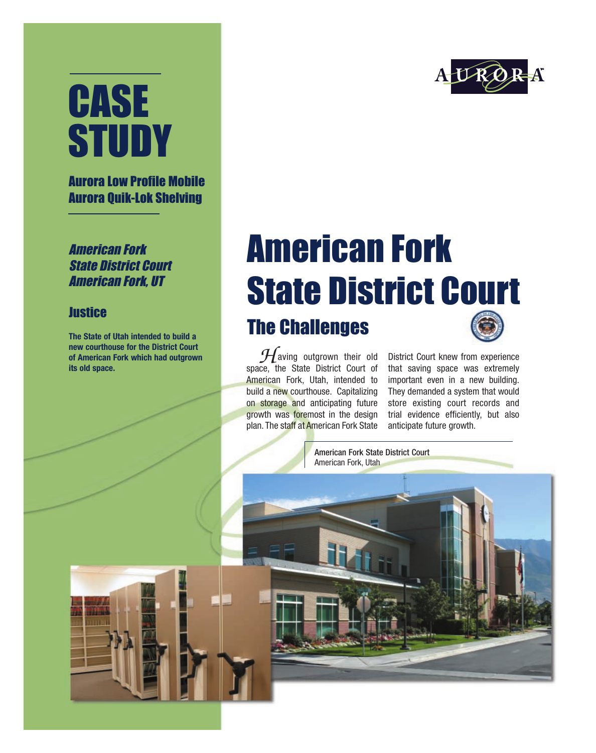# CASE **STUDY**

#### Aurora Low Profile Mobile Aurora Quik-Lok Shelving

American Fork State District Court American Fork, UT

#### **Justice**

**The State of Utah intended to build a new courthouse for the District Court of American Fork which had outgrown its old space.**



### American Fork State District Court The Challenges

aving outgrown their old space, the State District Court of American Fork, Utah, intended to build a new courthouse. Capitalizing on storage and anticipating future growth was foremost in the design plan. The staff at American Fork State  $\mathcal{H}$ 

District Court knew from experience that saving space was extremely important even in a new building. They demanded a system that would store existing court records and trial evidence efficiently, but also anticipate future growth.

American Fork State District Court American Fork, Utah